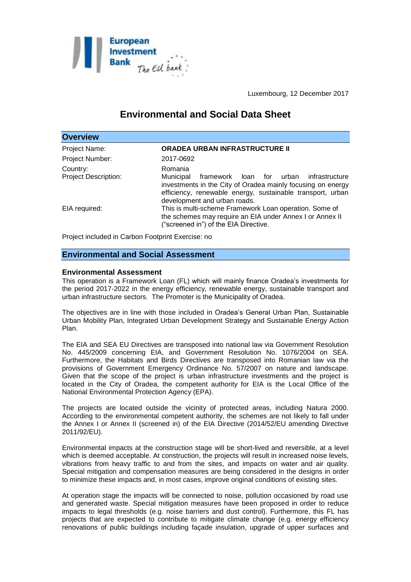

Luxembourg, 12 December 2017

# **Environmental and Social Data Sheet**

| <b>Overview</b>                         |                                                                                                                                                                                                                                 |
|-----------------------------------------|---------------------------------------------------------------------------------------------------------------------------------------------------------------------------------------------------------------------------------|
| Project Name:                           | <b>ORADEA URBAN INFRASTRUCTURE II</b>                                                                                                                                                                                           |
| Project Number:                         | 2017-0692                                                                                                                                                                                                                       |
| Country:<br><b>Project Description:</b> | Romania<br>Municipal<br>framework loan for urban<br>infrastructure<br>investments in the City of Oradea mainly focusing on energy<br>efficiency, renewable energy, sustainable transport, urban<br>development and urban roads. |
| EIA required:                           | This is multi-scheme Framework Loan operation. Some of<br>the schemes may require an EIA under Annex I or Annex II<br>("screened in") of the EIA Directive.                                                                     |

Project included in Carbon Footprint Exercise: no

## **Environmental and Social Assessment**

#### **Environmental Assessment**

This operation is a Framework Loan (FL) which will mainly finance Oradea's investments for the period 2017-2022 in the energy efficiency, renewable energy, sustainable transport and urban infrastructure sectors. The Promoter is the Municipality of Oradea.

The objectives are in line with those included in Oradea's General Urban Plan, Sustainable Urban Mobility Plan, Integrated Urban Development Strategy and Sustainable Energy Action Plan.

The EIA and SEA EU Directives are transposed into national law via Government Resolution No. 445/2009 concerning EIA, and Government Resolution No. 1076/2004 on SEA. Furthermore, the Habitats and Birds Directives are transposed into Romanian law via the provisions of Government Emergency Ordinance No. 57/2007 on nature and landscape. Given that the scope of the project is urban infrastructure investments and the project is located in the City of Oradea, the competent authority for EIA is the Local Office of the National Environmental Protection Agency (EPA).

The projects are located outside the vicinity of protected areas, including Natura 2000. According to the environmental competent authority, the schemes are not likely to fall under the Annex I or Annex II (screened in) of the EIA Directive (2014/52/EU amending Directive 2011/92/EU).

Environmental impacts at the construction stage will be short-lived and reversible, at a level which is deemed acceptable. At construction, the projects will result in increased noise levels, vibrations from heavy traffic to and from the sites, and impacts on water and air quality. Special mitigation and compensation measures are being considered in the designs in order to minimize these impacts and, in most cases, improve original conditions of existing sites.

At operation stage the impacts will be connected to noise, pollution occasioned by road use and generated waste. Special mitigation measures have been proposed in order to reduce impacts to legal thresholds (e.g. noise barriers and dust control). Furthermore, this FL has projects that are expected to contribute to mitigate climate change (e.g. energy efficiency renovations of public buildings including façade insulation, upgrade of upper surfaces and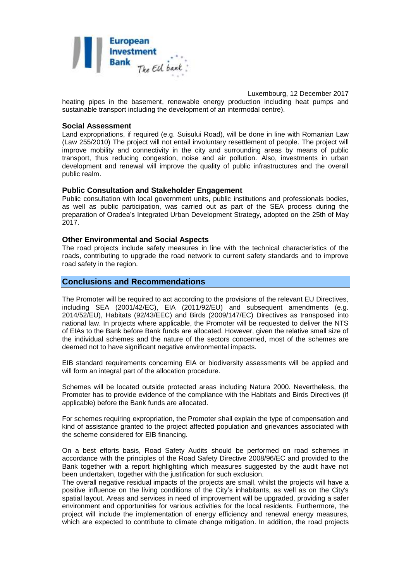

Luxembourg, 12 December 2017 heating pipes in the basement, renewable energy production including heat pumps and sustainable transport including the development of an intermodal centre).

#### **Social Assessment**

Land expropriations, if required (e.g. Suisului Road), will be done in line with Romanian Law (Law 255/2010) The project will not entail involuntary resettlement of people. The project will improve mobility and connectivity in the city and surrounding areas by means of public transport, thus reducing congestion, noise and air pollution. Also, investments in urban development and renewal will improve the quality of public infrastructures and the overall public realm.

## **Public Consultation and Stakeholder Engagement**

Public consultation with local government units, public institutions and professionals bodies, as well as public participation, was carried out as part of the SEA process during the preparation of Oradea's Integrated Urban Development Strategy, adopted on the 25th of May 2017.

#### **Other Environmental and Social Aspects**

The road projects include safety measures in line with the technical characteristics of the roads, contributing to upgrade the road network to current safety standards and to improve road safety in the region.

# **Conclusions and Recommendations**

The Promoter will be required to act according to the provisions of the relevant EU Directives, including SEA (2001/42/EC), EIA (2011/92/EU) and subsequent amendments (e.g. 2014/52/EU), Habitats (92/43/EEC) and Birds (2009/147/EC) Directives as transposed into national law. In projects where applicable, the Promoter will be requested to deliver the NTS of EIAs to the Bank before Bank funds are allocated. However, given the relative small size of the individual schemes and the nature of the sectors concerned, most of the schemes are deemed not to have significant negative environmental impacts.

EIB standard requirements concerning EIA or biodiversity assessments will be applied and will form an integral part of the allocation procedure.

Schemes will be located outside protected areas including Natura 2000. Nevertheless, the Promoter has to provide evidence of the compliance with the Habitats and Birds Directives (if applicable) before the Bank funds are allocated.

For schemes requiring expropriation, the Promoter shall explain the type of compensation and kind of assistance granted to the project affected population and grievances associated with the scheme considered for EIB financing.

On a best efforts basis, Road Safety Audits should be performed on road schemes in accordance with the principles of the Road Safety Directive 2008/96/EC and provided to the Bank together with a report highlighting which measures suggested by the audit have not been undertaken, together with the justification for such exclusion.

The overall negative residual impacts of the projects are small, whilst the projects will have a positive influence on the living conditions of the City's inhabitants, as well as on the City's spatial layout. Areas and services in need of improvement will be upgraded, providing a safer environment and opportunities for various activities for the local residents. Furthermore, the project will include the implementation of energy efficiency and renewal energy measures, which are expected to contribute to climate change mitigation. In addition, the road projects